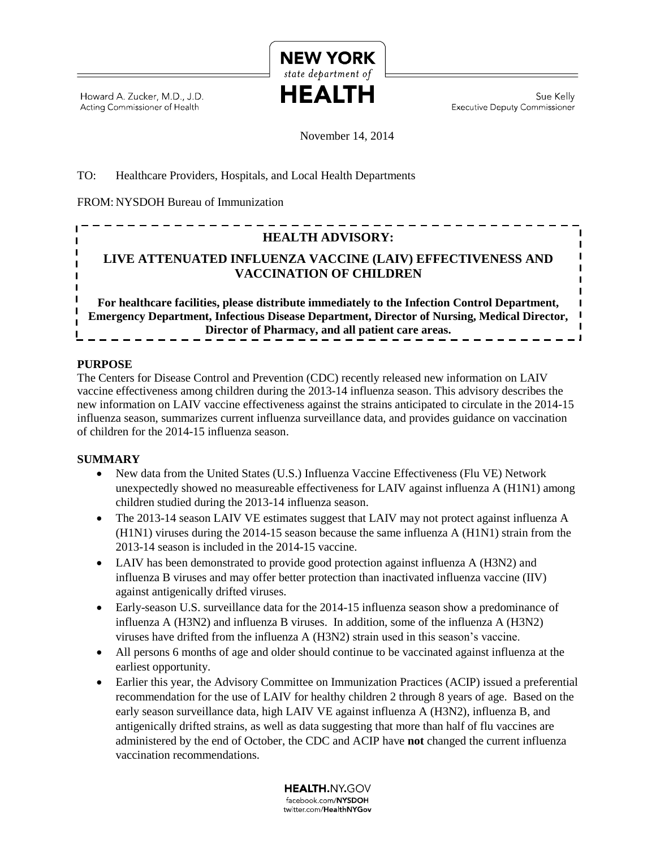

Howard A. Zucker, M.D., J.D. Acting Commissioner of Health

Sue Kelly **Executive Deputy Commissioner** 

November 14, 2014

## TO: Healthcare Providers, Hospitals, and Local Health Departments

FROM: NYSDOH Bureau of Immunization

# I **HEALTH ADVISORY:** I **LIVE ATTENUATED INFLUENZA VACCINE (LAIV) EFFECTIVENESS AND VACCINATION OF CHILDREN**

**For healthcare facilities, please distribute immediately to the Infection Control Department, Emergency Department, Infectious Disease Department, Director of Nursing, Medical Director, Director of Pharmacy, and all patient care areas.**

### **PURPOSE**

I Ï

> The Centers for Disease Control and Prevention (CDC) recently released new information on LAIV vaccine effectiveness among children during the 2013-14 influenza season. This advisory describes the new information on LAIV vaccine effectiveness against the strains anticipated to circulate in the 2014-15 influenza season, summarizes current influenza surveillance data, and provides guidance on vaccination of children for the 2014-15 influenza season.

### **SUMMARY**

- New data from the United States (U.S.) Influenza Vaccine Effectiveness (Flu VE) Network unexpectedly showed no measureable effectiveness for LAIV against influenza A (H1N1) among children studied during the 2013-14 influenza season.
- The 2013-14 season LAIV VE estimates suggest that LAIV may not protect against influenza A (H1N1) viruses during the 2014-15 season because the same influenza A (H1N1) strain from the 2013-14 season is included in the 2014-15 vaccine.
- LAIV has been demonstrated to provide good protection against influenza A (H3N2) and influenza B viruses and may offer better protection than inactivated influenza vaccine (IIV) against antigenically drifted viruses.
- Early-season U.S. surveillance data for the 2014-15 influenza season show a predominance of influenza A (H3N2) and influenza B viruses. In addition, some of the influenza A (H3N2) viruses have drifted from the influenza A (H3N2) strain used in this season's vaccine.
- All persons 6 months of age and older should continue to be vaccinated against influenza at the earliest opportunity.
- Earlier this year, the Advisory Committee on Immunization Practices (ACIP) issued a preferential recommendation for the use of LAIV for healthy children 2 through 8 years of age. Based on the early season surveillance data, high LAIV VE against influenza A (H3N2), influenza B, and antigenically drifted strains, as well as data suggesting that more than half of flu vaccines are administered by the end of October, the CDC and ACIP have **not** changed the current influenza vaccination recommendations.

**HEALTH.NY.GOV** facebook.com/NYSDOH twitter.com/HealthNYGov